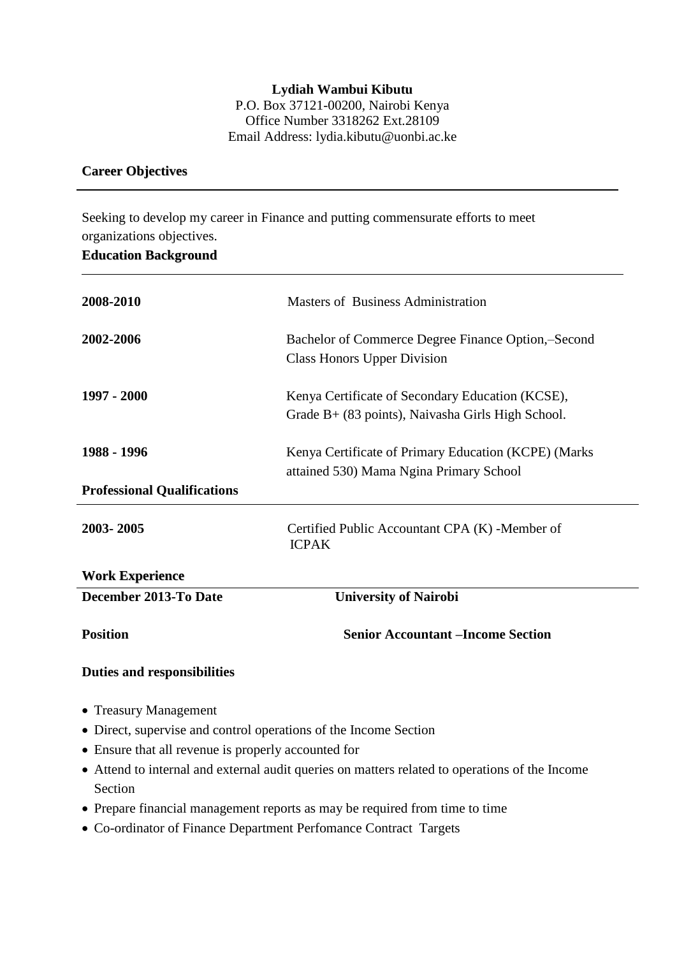**Lydiah Wambui Kibutu**  P.O. Box 37121-00200, Nairobi Kenya Office Number 3318262 Ext.28109 Email Address: lydia.kibutu@uonbi.ac.ke

#### **Career Objectives**

Seeking to develop my career in Finance and putting commensurate efforts to meet organizations objectives.

| <b>Position</b>                    | <b>Senior Accountant –Income Section</b>                                                                |
|------------------------------------|---------------------------------------------------------------------------------------------------------|
| December 2013-To Date              | <b>University of Nairobi</b>                                                                            |
| <b>Work Experience</b>             |                                                                                                         |
| 2003-2005                          | Certified Public Accountant CPA (K) -Member of<br><b>ICPAK</b>                                          |
| <b>Professional Qualifications</b> |                                                                                                         |
| 1988 - 1996                        | Kenya Certificate of Primary Education (KCPE) (Marks<br>attained 530) Mama Ngina Primary School         |
| 1997 - 2000                        | Kenya Certificate of Secondary Education (KCSE),<br>Grade $B+$ (83 points), Naivasha Girls High School. |
| 2002-2006                          | Bachelor of Commerce Degree Finance Option,-Second<br>Class Honors Upper Division                       |
| 2008-2010                          | Masters of Business Administration                                                                      |

#### **Duties and responsibilities**

- Treasury Management
- Direct, supervise and control operations of the Income Section
- Ensure that all revenue is properly accounted for
- Attend to internal and external audit queries on matters related to operations of the Income Section
- Prepare financial management reports as may be required from time to time
- Co-ordinator of Finance Department Perfomance Contract Targets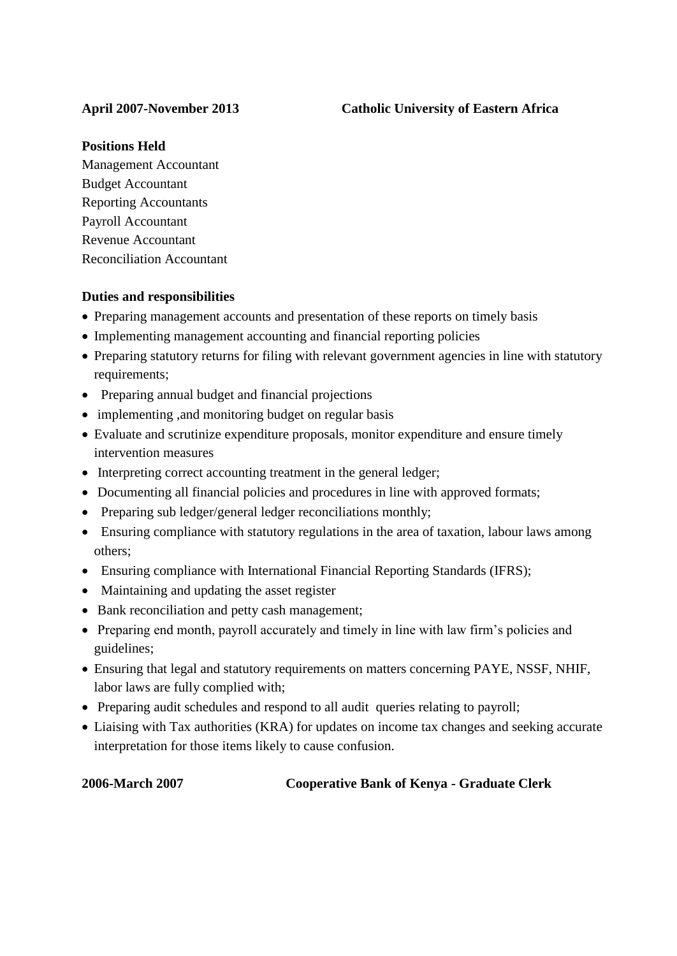#### **Positions Held**

Management Accountant Budget Accountant Reporting Accountants Payroll Accountant Revenue Accountant Reconciliation Accountant

### **Duties and responsibilities**

- Preparing management accounts and presentation of these reports on timely basis
- Implementing management accounting and financial reporting policies
- Preparing statutory returns for filing with relevant government agencies in line with statutory requirements;
- Preparing annual budget and financial projections
- implementing , and monitoring budget on regular basis
- Evaluate and scrutinize expenditure proposals, monitor expenditure and ensure timely intervention measures
- Interpreting correct accounting treatment in the general ledger;
- Documenting all financial policies and procedures in line with approved formats;
- Preparing sub ledger/general ledger reconciliations monthly;
- Ensuring compliance with statutory regulations in the area of taxation, labour laws among others;
- Ensuring compliance with International Financial Reporting Standards (IFRS);
- Maintaining and updating the asset register
- Bank reconciliation and petty cash management;
- Preparing end month, payroll accurately and timely in line with law firm's policies and guidelines;
- Ensuring that legal and statutory requirements on matters concerning PAYE, NSSF, NHIF, labor laws are fully complied with;
- Preparing audit schedules and respond to all audit queries relating to payroll;
- Liaising with Tax authorities (KRA) for updates on income tax changes and seeking accurate interpretation for those items likely to cause confusion.

## **2006-March 2007 Cooperative Bank of Kenya - Graduate Clerk**